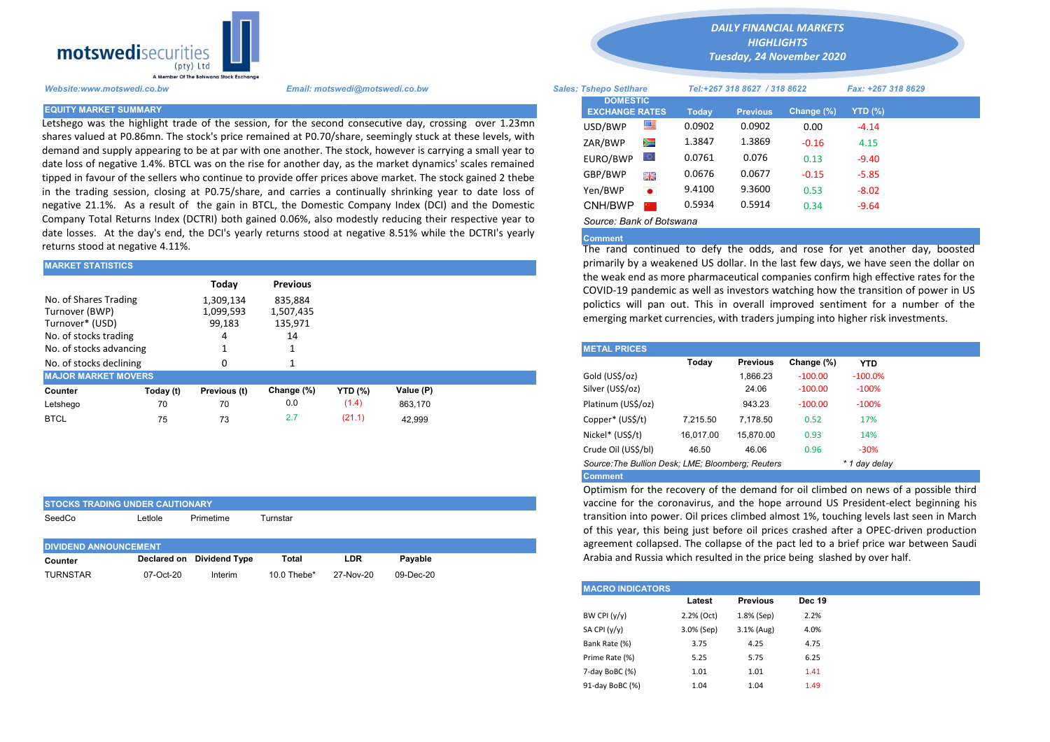

Letshego was the highlight trade of the session, for the second consecutive day, crossing over 1.23mn shares valued at P0.86mn. The stock's price remained at P0.70/share, seemingly stuck at these levels, with demand and supply appearing to be at par with one another. The stock, however is carrying a small year to date loss of negative 1.4%. BTCL was on the rise for another day, as the market dynamics' scales remained tipped in favour of the sellers who continue to provide offer prices above market. The stock gained 2 thebe in the trading session, closing at P0.75/share, and carries a continually shrinking year to date loss of negative 21.1%. As a result of the gain in BTCL, the Domestic Company Index (DCI) and the Domestic Company Total Returns Index (DCTRI) both gained 0.06%, also modestly reducing their respective year to date losses. At the day's end, the DCI's yearly returns stood at negative 8.51% while the DCTRI's yearly returns stood at negative 4.11%.

| <b>MARKET STATISTICS</b>                                                                                                                                         |           |              |                 | primarily by a weakened US dollar. In the last few days, we have se |           |                                                                                                                                         |                                                                                                                                          |          |                 |            |            |  |  |  |
|------------------------------------------------------------------------------------------------------------------------------------------------------------------|-----------|--------------|-----------------|---------------------------------------------------------------------|-----------|-----------------------------------------------------------------------------------------------------------------------------------------|------------------------------------------------------------------------------------------------------------------------------------------|----------|-----------------|------------|------------|--|--|--|
|                                                                                                                                                                  |           | Today        | <b>Previous</b> |                                                                     |           | the weak end as more pharmaceutical companies confirm high effect<br>COVID-19 pandemic as well as investors watching how the transition |                                                                                                                                          |          |                 |            |            |  |  |  |
| No. of Shares Trading<br>835.884<br>1,309,134<br>Turnover (BWP)<br>1,099,593<br>1,507,435<br>Turnover* (USD)<br>99,183<br>135,971<br>No. of stocks trading<br>14 |           |              |                 |                                                                     |           |                                                                                                                                         | polictics will pan out. This in overall improved sentiment for a<br>emerging market currencies, with traders jumping into higher risk in |          |                 |            |            |  |  |  |
| No. of stocks advancing                                                                                                                                          |           |              |                 |                                                                     |           |                                                                                                                                         | <b>METAL PRICES</b>                                                                                                                      |          |                 |            |            |  |  |  |
| No. of stocks declining                                                                                                                                          |           |              |                 |                                                                     |           |                                                                                                                                         |                                                                                                                                          | Today    | <b>Previous</b> | Change (%) | <b>YTD</b> |  |  |  |
| <b>MAJOR MARKET MOVERS</b>                                                                                                                                       |           |              |                 |                                                                     |           |                                                                                                                                         | Gold (US\$/oz)                                                                                                                           |          | 1.866.23        | $-100.00$  | $-100.0\%$ |  |  |  |
| Counter                                                                                                                                                          | Today (t) | Previous (t) | Change (%)      | <b>YTD (%)</b>                                                      | Value (P) |                                                                                                                                         | Silver (US\$/oz)                                                                                                                         |          | 24.06           | $-100.00$  | $-100%$    |  |  |  |
| Letshego                                                                                                                                                         | 70        | 70           | 0.0             | (1.4)                                                               | 863.170   |                                                                                                                                         | Platinum (US\$/oz)                                                                                                                       |          | 943.23          | $-100.00$  | $-100\%$   |  |  |  |
| <b>BTCL</b>                                                                                                                                                      | 75        | 73           | 2.7             | (21.1)                                                              | 42,999    |                                                                                                                                         | Copper* (US\$/t)                                                                                                                         | 7,215.50 | 7.178.50        | 0.52       | 17%        |  |  |  |

| <b>ISTOCKS TRADING UNDER CAUTIONARY</b> |              |                           |                |           |           |  |  |  |  |  |  |  |
|-----------------------------------------|--------------|---------------------------|----------------|-----------|-----------|--|--|--|--|--|--|--|
| SeedCo                                  | ∟etlole      | Primetime                 | Turnstar       |           |           |  |  |  |  |  |  |  |
|                                         |              |                           |                |           |           |  |  |  |  |  |  |  |
| <b>DIVIDEND ANNOUNCEMENT</b>            |              |                           |                |           |           |  |  |  |  |  |  |  |
| Counter                                 |              | Declared on Dividend Type | Total          | LDR       | Pavable   |  |  |  |  |  |  |  |
| <b>TURNSTAR</b>                         | $07$ -Oct-20 | Interim                   | 10.0 Thebe $*$ | 27-Nov-20 | 09-Dec-20 |  |  |  |  |  |  |  |

*DAILY FINANCIAL MARKETS HIGHLIGHTS*

*Tuesday, 24 November 2020* 

| A Member Of the Boiswand Slock Exchange |                                                                                                                                                                                                                        |                               |                 |        |                              |               |                    |  |
|-----------------------------------------|------------------------------------------------------------------------------------------------------------------------------------------------------------------------------------------------------------------------|-------------------------------|-----------------|--------|------------------------------|---------------|--------------------|--|
| Website:www.motswedi.co.bw              | Email: motswedi@motswedi.co.bw                                                                                                                                                                                         | <b>Sales: Tshepo Setlhare</b> |                 |        | Tel:+267 318 8627 / 318 8622 |               | Fax: +267 318 8629 |  |
| <b>EQUITY MARKET SUMMARY.</b>           |                                                                                                                                                                                                                        | <b>EXCHANGE RATES</b>         | <b>DOMESTIC</b> | Today  | <b>Previous</b>              | Change $(\%)$ | $YTD(\%)$          |  |
|                                         | etshego was the highlight trade of the session, for the second consecutive day, crossing over 1.23mn                                                                                                                   | USD/BWP                       | 四               | 0.0902 | 0.0902                       | 0.00          | $-4.14$            |  |
|                                         | hares valued at P0.86mn. The stock's price remained at P0.70/share, seemingly stuck at these levels, with<br>demand and supply appearing to be at par with one another. The stock, however is carrying a small year to | ZAR/BWP                       | Ň               | 1.3847 | 1.3869                       | $-0.16$       | 4.15               |  |
|                                         | late loss of negative 1.4%. BTCL was on the rise for another day, as the market dynamics' scales remained                                                                                                              | EURO/BWP                      |                 | 0.0761 | 0.076                        | 0.13          | $-9.40$            |  |
|                                         | ipped in favour of the sellers who continue to provide offer prices above market. The stock gained 2 thebe                                                                                                             | GBP/BWP                       | 開幕              | 0.0676 | 0.0677                       | $-0.15$       | $-5.85$            |  |
|                                         | n the trading session, closing at P0.75/share, and carries a continually shrinking year to date loss of                                                                                                                | Yen/BWP                       | $\bullet$       | 9.4100 | 9.3600                       | 0.53          | $-8.02$            |  |
|                                         | negative 21.1%. As a result of the gain in BTCL, the Domestic Company Index (DCI) and the Domestic                                                                                                                     | CNH/BWP                       |                 | 0.5934 | 0.5914                       | 0.34          | $-9.64$            |  |
|                                         | Company Total Returns Index (DCTRI) both gained 0.06%, also modestly reducing their respective year to                                                                                                                 | Source: Bank of Botswana      |                 |        |                              |               |                    |  |
|                                         |                                                                                                                                                                                                                        |                               |                 |        |                              |               |                    |  |

## **Comment**

The rand continued to defy the odds, and rose for yet another day, boosted primarily by a weakened US dollar. In the last few days, we have seen the dollar on the weak end as more pharmaceutical companies confirm high effective rates for the COVID-19 pandemic as well as investors watching how the transition of power in US polictics will pan out. This in overall improved sentiment for a number of the emerging market currencies, with traders jumping into higher risk investments.

| <b>METAL PRICES</b>                               |           |                 |            |               |
|---------------------------------------------------|-----------|-----------------|------------|---------------|
|                                                   | Today     | <b>Previous</b> | Change (%) | <b>YTD</b>    |
| Gold (US\$/oz)                                    |           | 1.866.23        | $-100.00$  | $-100.0%$     |
| Silver (US\$/oz)                                  |           | 24.06           | $-100.00$  | $-100%$       |
| Platinum (US\$/oz)                                |           | 943.23          | $-100.00$  | $-100%$       |
| Copper* (US\$/t)                                  | 7,215.50  | 7.178.50        | 0.52       | 17%           |
| Nickel* (US\$/t)                                  | 16,017.00 | 15.870.00       | 0.93       | 14%           |
| Crude Oil (US\$/bl)                               | 46.50     | 46.06           | 0.96       | $-30\%$       |
| Source: The Bullion Desk: LME: Bloomberg: Reuters |           |                 |            | * 1 day delay |
| <b>Comment</b>                                    |           |                 |            |               |

Optimism for the recovery of the demand for oil climbed on news of a possible third vaccine for the coronavirus, and the hope arround US President-elect beginning his transition into power. Oil prices climbed almost 1%, touching levels last seen in March of this year, this being just before oil prices crashed after a OPEC-driven production agreement collapsed. The collapse of the pact led to a brief price war between Saudi Arabia and Russia which resulted in the price being slashed by over half.

| <b>MACRO INDICATORS</b> |            |                 |               |
|-------------------------|------------|-----------------|---------------|
|                         | Latest     | <b>Previous</b> | <b>Dec 19</b> |
| BW CPI $(y/y)$          | 2.2% (Oct) | 1.8% (Sep)      | 2.2%          |
| SA CPI (y/y)            | 3.0% (Sep) | $3.1%$ (Aug)    | 4.0%          |
| Bank Rate (%)           | 3.75       | 4.25            | 4.75          |
| Prime Rate (%)          | 5.25       | 5.75            | 6.25          |
| 7-day BoBC (%)          | 1.01       | 1.01            | 1.41          |
| 91-day BoBC (%)         | 1.04       | 1.04            | 1.49          |